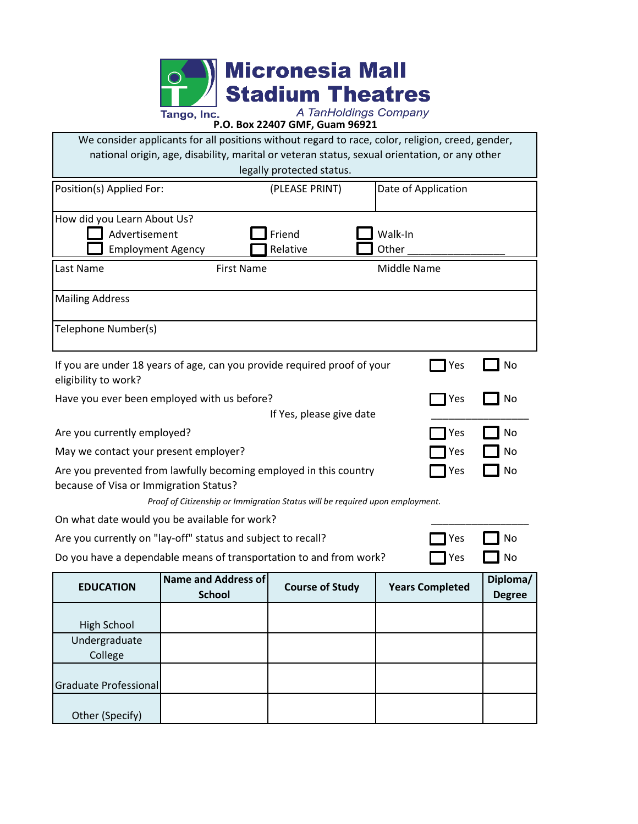

| We consider applicants for all positions without regard to race, color, religion, creed, gender,<br>national origin, age, disability, marital or veteran status, sexual orientation, or any other<br>legally protected status. |                                             |                        |                        |                           |  |  |  |
|--------------------------------------------------------------------------------------------------------------------------------------------------------------------------------------------------------------------------------|---------------------------------------------|------------------------|------------------------|---------------------------|--|--|--|
| Position(s) Applied For:                                                                                                                                                                                                       |                                             | (PLEASE PRINT)         | Date of Application    |                           |  |  |  |
| How did you Learn About Us?<br>Advertisement<br><b>Employment Agency</b>                                                                                                                                                       |                                             | Friend<br>Relative     | Walk-In<br>Other       |                           |  |  |  |
| Last Name                                                                                                                                                                                                                      | <b>First Name</b>                           |                        |                        | Middle Name               |  |  |  |
| <b>Mailing Address</b>                                                                                                                                                                                                         |                                             |                        |                        |                           |  |  |  |
| Telephone Number(s)                                                                                                                                                                                                            |                                             |                        |                        |                           |  |  |  |
| If you are under 18 years of age, can you provide required proof of your<br>Yes<br>No<br>eligibility to work?                                                                                                                  |                                             |                        |                        |                           |  |  |  |
| Have you ever been employed with us before?<br>Yes<br>If Yes, please give date                                                                                                                                                 |                                             |                        |                        |                           |  |  |  |
| Are you currently employed?<br>No<br>Yes                                                                                                                                                                                       |                                             |                        |                        |                           |  |  |  |
| May we contact your present employer?<br>Yes                                                                                                                                                                                   |                                             |                        |                        |                           |  |  |  |
| Are you prevented from lawfully becoming employed in this country<br>No<br>Yes<br>because of Visa or Immigration Status?                                                                                                       |                                             |                        |                        |                           |  |  |  |
| Proof of Citizenship or Immigration Status will be required upon employment.                                                                                                                                                   |                                             |                        |                        |                           |  |  |  |
| On what date would you be available for work?<br>Are you currently on "lay-off" status and subject to recall?<br>No<br>Yes                                                                                                     |                                             |                        |                        |                           |  |  |  |
| Do you have a dependable means of transportation to and from work?<br>No<br>Yes                                                                                                                                                |                                             |                        |                        |                           |  |  |  |
| <b>EDUCATION</b>                                                                                                                                                                                                               | <b>Name and Address of</b><br><b>School</b> | <b>Course of Study</b> | <b>Years Completed</b> | Diploma/<br><b>Degree</b> |  |  |  |
| <b>High School</b>                                                                                                                                                                                                             |                                             |                        |                        |                           |  |  |  |
| Undergraduate<br>College                                                                                                                                                                                                       |                                             |                        |                        |                           |  |  |  |
| Graduate Professional                                                                                                                                                                                                          |                                             |                        |                        |                           |  |  |  |
| Other (Specify)                                                                                                                                                                                                                |                                             |                        |                        |                           |  |  |  |